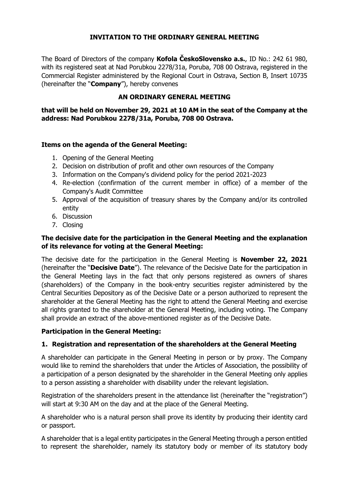## **INVITATION TO THE ORDINARY GENERAL MEETING**

The Board of Directors of the company **Kofola ČeskoSlovensko a.s.**, ID No.: 242 61 980, with its registered seat at Nad Porubkou 2278/31a, Poruba, 708 00 Ostrava, registered in the Commercial Register administered by the Regional Court in Ostrava, Section B, Insert 10735 (hereinafter the "**Company**"), hereby convenes

## **AN ORDINARY GENERAL MEETING**

**that will be held on November 29, 2021 at 10 AM in the seat of the Company at the address: Nad Porubkou 2278/31a, Poruba, 708 00 Ostrava.** 

#### **Items on the agenda of the General Meeting:**

- 1. Opening of the General Meeting
- 2. Decision on distribution of profit and other own resources of the Company
- 3. Information on the Company's dividend policy for the period 2021-2023
- 4. Re-election (confirmation of the current member in office) of a member of the Company's Audit Committee
- 5. Approval of the acquisition of treasury shares by the Company and/or its controlled entity
- 6. Discussion
- 7. Closing

## **The decisive date for the participation in the General Meeting and the explanation of its relevance for voting at the General Meeting:**

The decisive date for the participation in the General Meeting is **November 22, 2021** (hereinafter the "**Decisive Date**"). The relevance of the Decisive Date for the participation in the General Meeting lays in the fact that only persons registered as owners of shares (shareholders) of the Company in the book-entry securities register administered by the Central Securities Depository as of the Decisive Date or a person authorized to represent the shareholder at the General Meeting has the right to attend the General Meeting and exercise all rights granted to the shareholder at the General Meeting, including voting. The Company shall provide an extract of the above-mentioned register as of the Decisive Date.

### **Participation in the General Meeting:**

### **1. Registration and representation of the shareholders at the General Meeting**

A shareholder can participate in the General Meeting in person or by proxy. The Company would like to remind the shareholders that under the Articles of Association, the possibility of a participation of a person designated by the shareholder in the General Meeting only applies to a person assisting a shareholder with disability under the relevant legislation.

Registration of the shareholders present in the attendance list (hereinafter the "registration") will start at 9:30 AM on the day and at the place of the General Meeting.

A shareholder who is a natural person shall prove its identity by producing their identity card or passport.

A shareholder that is a legal entity participates in the General Meeting through a person entitled to represent the shareholder, namely its statutory body or member of its statutory body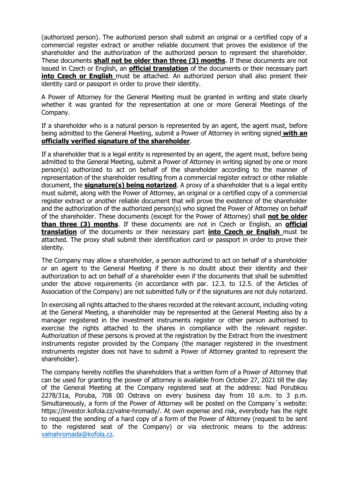(authorized person). The authorized person shall submit an original or a certified copy of a commercial register extract or another reliable document that proves the existence of the shareholder and the authorization of the authorized person to represent the shareholder. These documents **shall not be older than three (3) months**. If these documents are not issued in Czech or English, an **official translation** of the documents or their necessary part **into Czech or English** must be attached. An authorized person shall also present their identity card or passport in order to prove their identity.

A Power of Attorney for the General Meeting must be granted in writing and state clearly whether it was granted for the representation at one or more General Meetings of the Company.

If a shareholder who is a natural person is represented by an agent, the agent must, before being admitted to the General Meeting, submit a Power of Attorney in writing signed **with an officially verified signature of the shareholder**.

If a shareholder that is a legal entity is represented by an agent, the agent must, before being admitted to the General Meeting, submit a Power of Attorney in writing signed by one or more person(s) authorized to act on behalf of the shareholder according to the manner of representation of the shareholder resulting from a commercial register extract or other reliable document, the **signature(s) being notarized**. A proxy of a shareholder that is a legal entity must submit, along with the Power of Attorney, an original or a certified copy of a commercial register extract or another reliable document that will prove the existence of the shareholder and the authorization of the authorized person(s) who signed the Power of Attorney on behalf of the shareholder. These documents (except for the Power of Attorney) shall **not be older than three (3) months**. If these documents are not in Czech or English, an **official translation** of the documents or their necessary part **into Czech or English** must be attached. The proxy shall submit their identification card or passport in order to prove their identity.

The Company may allow a shareholder, a person authorized to act on behalf of a shareholder or an agent to the General Meeting if there is no doubt about their identity and their authorization to act on behalf of a shareholder even if the documents that shall be submitted under the above requirements (in accordance with par. 12.3. to 12.5. of the Articles of Association of the Company) are not submitted fully or if the signatures are not duly notarized.

In exercising all rights attached to the shares recorded at the relevant account, including voting at the General Meeting, a shareholder may be represented at the General Meeting also by a manager registered in the investment instruments register or other person authorised to exercise the rights attached to the shares in compliance with the relevant register. Authorization of these persons is proved at the registration by the Extract from the investment instruments register provided by the Company (the manager registered in the investment instruments register does not have to submit a Power of Attorney granted to represent the shareholder).

The company hereby notifies the shareholders that a written form of a Power of Attorney that can be used for granting the power of attorney is available from October 27, 2021 till the day of the General Meeting at the Company registered seat at the address: Nad Porubkou 2278/31a, Poruba, 708 00 Ostrava on every business day from 10 a.m. to 3 p.m. Simultaneously, a form of the Power of Attorney will be posted on the Company´s website: https://investor.kofola.cz/valne-hromady/. At own expense and risk, everybody has the right to request the sending of a hard copy of a form of the Power of Attorney (request to be sent to the registered seat of the Company) or via electronic means to the address: [valnahromada@kofola.cz.](mailto:valnahromada@kofola.cz)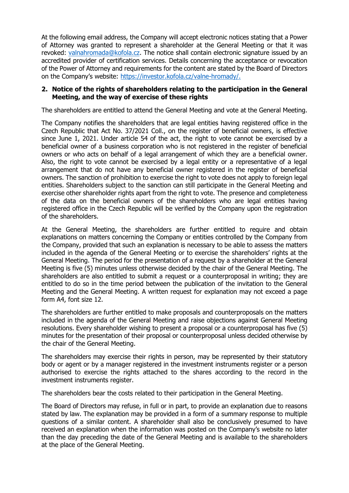At the following email address, the Company will accept electronic notices stating that a Power of Attorney was granted to represent a shareholder at the General Meeting or that it was revoked: [valnahromada@kofola.cz.](mailto:valnahromada@kofola.cz) The notice shall contain electronic signature issued by an accredited provider of certification services. Details concerning the acceptance or revocation of the Power of Attorney and requirements for the content are stated by the Board of Directors on the Company's website: [https://investor.kofola.cz/valne-hromady/.](https://investor.kofola.cz/valne-hromady/)

#### **2. Notice of the rights of shareholders relating to the participation in the General Meeting, and the way of exercise of these rights**

The shareholders are entitled to attend the General Meeting and vote at the General Meeting.

The Company notifies the shareholders that are legal entities having registered office in the Czech Republic that Act No. 37/2021 Coll., on the register of beneficial owners, is effective since June 1, 2021. Under article 54 of the act, the right to vote cannot be exercised by a beneficial owner of a business corporation who is not registered in the register of beneficial owners or who acts on behalf of a legal arrangement of which they are a beneficial owner. Also, the right to vote cannot be exercised by a legal entity or a representative of a legal arrangement that do not have any beneficial owner registered in the register of beneficial owners. The sanction of prohibition to exercise the right to vote does not apply to foreign legal entities. Shareholders subject to the sanction can still participate in the General Meeting and exercise other shareholder rights apart from the right to vote. The presence and completeness of the data on the beneficial owners of the shareholders who are legal entities having registered office in the Czech Republic will be verified by the Company upon the registration of the shareholders.

At the General Meeting, the shareholders are further entitled to require and obtain explanations on matters concerning the Company or entities controlled by the Company from the Company, provided that such an explanation is necessary to be able to assess the matters included in the agenda of the General Meeting or to exercise the shareholders' rights at the General Meeting. The period for the presentation of a request by a shareholder at the General Meeting is five (5) minutes unless otherwise decided by the chair of the General Meeting. The shareholders are also entitled to submit a request or a counterproposal in writing; they are entitled to do so in the time period between the publication of the invitation to the General Meeting and the General Meeting. A written request for explanation may not exceed a page form A4, font size 12.

The shareholders are further entitled to make proposals and counterproposals on the matters included in the agenda of the General Meeting and raise objections against General Meeting resolutions. Every shareholder wishing to present a proposal or a counterproposal has five (5) minutes for the presentation of their proposal or counterproposal unless decided otherwise by the chair of the General Meeting.

The shareholders may exercise their rights in person, may be represented by their statutory body or agent or by a manager registered in the investment instruments register or a person authorised to exercise the rights attached to the shares according to the record in the investment instruments register.

The shareholders bear the costs related to their participation in the General Meeting.

The Board of Directors may refuse, in full or in part, to provide an explanation due to reasons stated by law. The explanation may be provided in a form of a summary response to multiple questions of a similar content. A shareholder shall also be conclusively presumed to have received an explanation when the information was posted on the Company's website no later than the day preceding the date of the General Meeting and is available to the shareholders at the place of the General Meeting.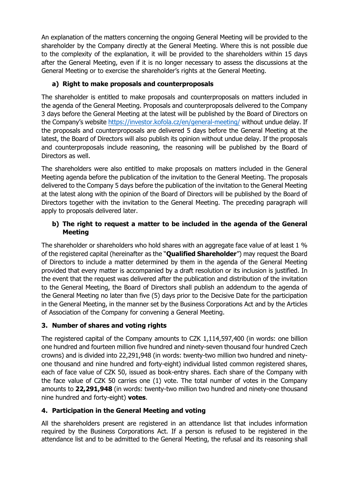An explanation of the matters concerning the ongoing General Meeting will be provided to the shareholder by the Company directly at the General Meeting. Where this is not possible due to the complexity of the explanation, it will be provided to the shareholders within 15 days after the General Meeting, even if it is no longer necessary to assess the discussions at the General Meeting or to exercise the shareholder's rights at the General Meeting.

# **a) Right to make proposals and counterproposals**

The shareholder is entitled to make proposals and counterproposals on matters included in the agenda of the General Meeting. Proposals and counterproposals delivered to the Company 3 days before the General Meeting at the latest will be published by the Board of Directors on the Company's website <https://investor.kofola.cz/en/general-meeting/> without undue delay. If the proposals and counterproposals are delivered 5 days before the General Meeting at the latest, the Board of Directors will also publish its opinion without undue delay. If the proposals and counterproposals include reasoning, the reasoning will be published by the Board of Directors as well.

The shareholders were also entitled to make proposals on matters included in the General Meeting agenda before the publication of the invitation to the General Meeting. The proposals delivered to the Company 5 days before the publication of the invitation to the General Meeting at the latest along with the opinion of the Board of Directors will be published by the Board of Directors together with the invitation to the General Meeting. The preceding paragraph will apply to proposals delivered later.

# **b) The right to request a matter to be included in the agenda of the General Meeting**

The shareholder or shareholders who hold shares with an aggregate face value of at least 1 % of the registered capital (hereinafter as the "**Qualified Shareholder**") may request the Board of Directors to include a matter determined by them in the agenda of the General Meeting provided that every matter is accompanied by a draft resolution or its inclusion is justified. In the event that the request was delivered after the publication and distribution of the invitation to the General Meeting, the Board of Directors shall publish an addendum to the agenda of the General Meeting no later than five (5) days prior to the Decisive Date for the participation in the General Meeting, in the manner set by the Business Corporations Act and by the Articles of Association of the Company for convening a General Meeting.

# **3. Number of shares and voting rights**

The registered capital of the Company amounts to CZK 1,114,597,400 (in words: one billion one hundred and fourteen million five hundred and ninety-seven thousand four hundred Czech crowns) and is divided into 22,291,948 (in words: twenty-two million two hundred and ninetyone thousand and nine hundred and forty-eight) individual listed common registered shares, each of face value of CZK 50, issued as book-entry shares. Each share of the Company with the face value of CZK 50 carries one (1) vote. The total number of votes in the Company amounts to **22,291,948** (in words: twenty-two million two hundred and ninety-one thousand nine hundred and forty-eight) **votes**.

# **4. Participation in the General Meeting and voting**

All the shareholders present are registered in an attendance list that includes information required by the Business Corporations Act. If a person is refused to be registered in the attendance list and to be admitted to the General Meeting, the refusal and its reasoning shall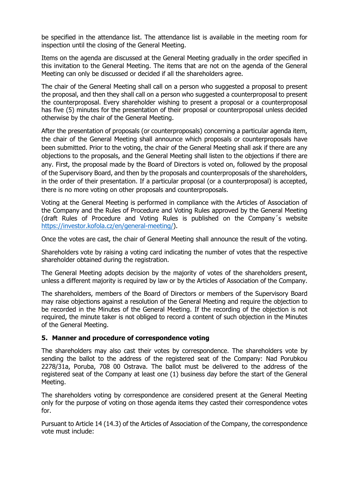be specified in the attendance list. The attendance list is available in the meeting room for inspection until the closing of the General Meeting.

Items on the agenda are discussed at the General Meeting gradually in the order specified in this invitation to the General Meeting. The items that are not on the agenda of the General Meeting can only be discussed or decided if all the shareholders agree.

The chair of the General Meeting shall call on a person who suggested a proposal to present the proposal, and then they shall call on a person who suggested a counterproposal to present the counterproposal. Every shareholder wishing to present a proposal or a counterproposal has five (5) minutes for the presentation of their proposal or counterproposal unless decided otherwise by the chair of the General Meeting.

After the presentation of proposals (or counterproposals) concerning a particular agenda item, the chair of the General Meeting shall announce which proposals or counterproposals have been submitted. Prior to the voting, the chair of the General Meeting shall ask if there are any objections to the proposals, and the General Meeting shall listen to the objections if there are any. First, the proposal made by the Board of Directors is voted on, followed by the proposal of the Supervisory Board, and then by the proposals and counterproposals of the shareholders, in the order of their presentation. If a particular proposal (or a counterproposal) is accepted, there is no more voting on other proposals and counterproposals.

Voting at the General Meeting is performed in compliance with the Articles of Association of the Company and the Rules of Procedure and Voting Rules approved by the General Meeting (draft Rules of Procedure and Voting Rules is published on the Company´s website [https://investor.kofola.cz/en/general-meeting/\)](https://investor.kofola.cz/en/general-meeting/).

Once the votes are cast, the chair of General Meeting shall announce the result of the voting.

Shareholders vote by raising a voting card indicating the number of votes that the respective shareholder obtained during the registration.

The General Meeting adopts decision by the majority of votes of the shareholders present, unless a different majority is required by law or by the Articles of Association of the Company.

The shareholders, members of the Board of Directors or members of the Supervisory Board may raise objections against a resolution of the General Meeting and require the objection to be recorded in the Minutes of the General Meeting. If the recording of the objection is not required, the minute taker is not obliged to record a content of such objection in the Minutes of the General Meeting.

### **5. Manner and procedure of correspondence voting**

The shareholders may also cast their votes by correspondence. The shareholders vote by sending the ballot to the address of the registered seat of the Company: Nad Porubkou 2278/31a, Poruba, 708 00 Ostrava. The ballot must be delivered to the address of the registered seat of the Company at least one (1) business day before the start of the General Meeting.

The shareholders voting by correspondence are considered present at the General Meeting only for the purpose of voting on those agenda items they casted their correspondence votes for.

Pursuant to Article 14 (14.3) of the Articles of Association of the Company, the correspondence vote must include: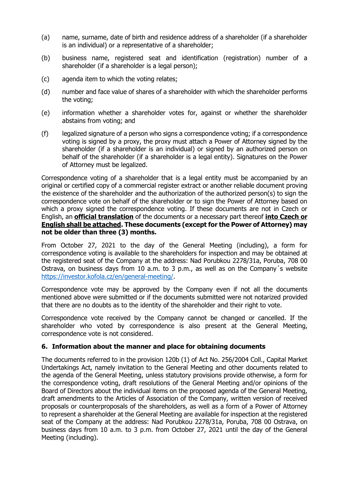- (a) name, surname, date of birth and residence address of a shareholder (if a shareholder is an individual) or a representative of a shareholder;
- (b) business name, registered seat and identification (registration) number of a shareholder (if a shareholder is a legal person);
- (c) agenda item to which the voting relates;
- (d) number and face value of shares of a shareholder with which the shareholder performs the voting;
- (e) information whether a shareholder votes for, against or whether the shareholder abstains from voting; and
- (f) legalized signature of a person who signs a correspondence voting; if a correspondence voting is signed by a proxy, the proxy must attach a Power of Attorney signed by the shareholder (if a shareholder is an individual) or signed by an authorized person on behalf of the shareholder (if a shareholder is a legal entity). Signatures on the Power of Attorney must be legalized.

Correspondence voting of a shareholder that is a legal entity must be accompanied by an original or certified copy of a commercial register extract or another reliable document proving the existence of the shareholder and the authorization of the authorized person(s) to sign the correspondence vote on behalf of the shareholder or to sign the Power of Attorney based on which a proxy signed the correspondence voting. If these documents are not in Czech or English, an **official translation** of the documents or a necessary part thereof **into Czech or English shall be attached. These documents (except for the Power of Attorney) may not be older than three (3) months.**

From October 27, 2021 to the day of the General Meeting (including), a form for correspondence voting is available to the shareholders for inspection and may be obtained at the registered seat of the Company at the address: Nad Porubkou 2278/31a, Poruba, 708 00 Ostrava, on business days from 10 a.m. to 3 p.m., as well as on the Company´s website [https://investor.kofola.cz/en/general-meeting/.](https://investor.kofola.cz/en/general-meeting/)

Correspondence vote may be approved by the Company even if not all the documents mentioned above were submitted or if the documents submitted were not notarized provided that there are no doubts as to the identity of the shareholder and their right to vote.

Correspondence vote received by the Company cannot be changed or cancelled. If the shareholder who voted by correspondence is also present at the General Meeting, correspondence vote is not considered.

### **6. Information about the manner and place for obtaining documents**

The documents referred to in the provision 120b (1) of Act No. 256/2004 Coll., Capital Market Undertakings Act, namely invitation to the General Meeting and other documents related to the agenda of the General Meeting, unless statutory provisions provide otherwise, a form for the correspondence voting, draft resolutions of the General Meeting and/or opinions of the Board of Directors about the individual items on the proposed agenda of the General Meeting, draft amendments to the Articles of Association of the Company, written version of received proposals or counterproposals of the shareholders, as well as a form of a Power of Attorney to represent a shareholder at the General Meeting are available for inspection at the registered seat of the Company at the address: Nad Porubkou 2278/31a, Poruba, 708 00 Ostrava, on business days from 10 a.m. to 3 p.m. from October 27, 2021 until the day of the General Meeting (including).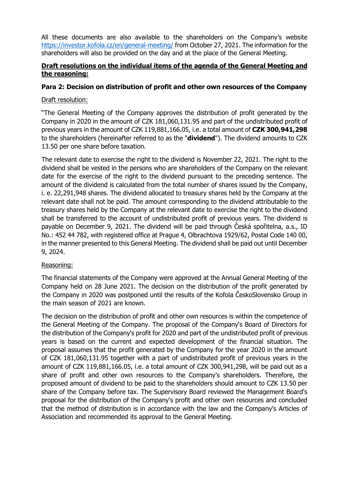All these documents are also available to the shareholders on the Company's website <https://investor.kofola.cz/en/general-meeting/> from October 27, 2021. The information for the shareholders will also be provided on the day and at the place of the General Meeting.

## **Draft resolutions on the individual items of the agenda of the General Meeting and the reasoning:**

## **Para 2: Decision on distribution of profit and other own resources of the Company**

### Draft resolution:

"The General Meeting of the Company approves the distribution of profit generated by the Company in 2020 in the amount of CZK 181,060,131.95 and part of the undistributed profit of previous years in the amount of CZK 119,881,166.05, i.e. a total amount of **CZK 300,941,298** to the shareholders (hereinafter referred to as the "**dividend**"). The dividend amounts to CZK 13.50 per one share before taxation.

The relevant date to exercise the right to the dividend is November 22, 2021. The right to the dividend shall be vested in the persons who are shareholders of the Company on the relevant date for the exercise of the right to the dividend pursuant to the preceding sentence. The amount of the dividend is calculated from the total number of shares issued by the Company, i. e. 22,291,948 shares. The dividend allocated to treasury shares held by the Company at the relevant date shall not be paid. The amount corresponding to the dividend attributable to the treasury shares held by the Company at the relevant date to exercise the right to the dividend shall be transferred to the account of undistributed profit of previous years. The dividend is payable on December 9, 2021. The dividend will be paid through Česká spořitelna, a.s., ID No.: 452 44 782, with registered office at Prague 4, Olbrachtova 1929/62, Postal Code 140 00, in the manner presented to this General Meeting. The dividend shall be paid out until December 9, 2024.

### Reasoning:

The financial statements of the Company were approved at the Annual General Meeting of the Company held on 28 June 2021. The decision on the distribution of the profit generated by the Company in 2020 was postponed until the results of the Kofola ČeskoSlovensko Group in the main season of 2021 are known.

The decision on the distribution of profit and other own resources is within the competence of the General Meeting of the Company. The proposal of the Company's Board of Directors for the distribution of the Company's profit for 2020 and part of the undistributed profit of previous years is based on the current and expected development of the financial situation. The proposal assumes that the profit generated by the Company for the year 2020 in the amount of CZK 181,060,131.95 together with a part of undistributed profit of previous years in the amount of CZK 119,881,166.05, i.e. a total amount of CZK 300,941,298, will be paid out as a share of profit and other own resources to the Company's shareholders. Therefore, the proposed amount of dividend to be paid to the shareholders should amount to CZK 13.50 per share of the Company before tax. The Supervisory Board reviewed the Management Board's proposal for the distribution of the Company's profit and other own resources and concluded that the method of distribution is in accordance with the law and the Company's Articles of Association and recommended its approval to the General Meeting.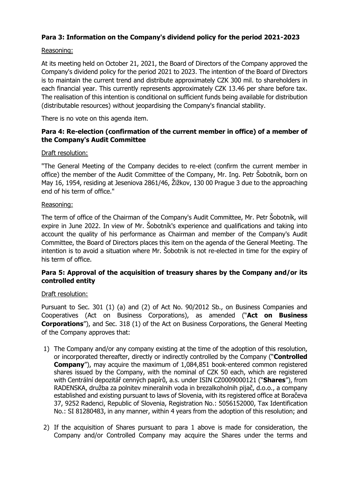## **Para 3: Information on the Company's dividend policy for the period 2021-2023**

### Reasoning:

At its meeting held on October 21, 2021, the Board of Directors of the Company approved the Company's dividend policy for the period 2021 to 2023. The intention of the Board of Directors is to maintain the current trend and distribute approximately CZK 300 mil. to shareholders in each financial year. This currently represents approximately CZK 13.46 per share before tax. The realisation of this intention is conditional on sufficient funds being available for distribution (distributable resources) without jeopardising the Company's financial stability.

There is no vote on this agenda item.

## **Para 4: Re-election (confirmation of the current member in office) of a member of the Company's Audit Committee**

#### Draft resolution:

"The General Meeting of the Company decides to re-elect (confirm the current member in office) the member of the Audit Committee of the Company, Mr. Ing. Petr Šobotník, born on May 16, 1954, residing at Jeseniova 2861/46, Žižkov, 130 00 Prague 3 due to the approaching end of his term of office."

#### Reasoning:

The term of office of the Chairman of the Company's Audit Committee, Mr. Petr Šobotník, will expire in June 2022. In view of Mr. Šobotník's experience and qualifications and taking into account the quality of his performance as Chairman and member of the Company's Audit Committee, the Board of Directors places this item on the agenda of the General Meeting. The intention is to avoid a situation where Mr. Šobotník is not re-elected in time for the expiry of his term of office.

## **Para 5: Approval of the acquisition of treasury shares by the Company and/or its controlled entity**

#### Draft resolution:

Pursuant to Sec. 301 (1) (a) and (2) of Act No. 90/2012 Sb., on Business Companies and Cooperatives (Act on Business Corporations), as amended ("**Act on Business Corporations**"), and Sec. 318 (1) of the Act on Business Corporations, the General Meeting of the Company approves that:

- 1) The Company and/or any company existing at the time of the adoption of this resolution, or incorporated thereafter, directly or indirectly controlled by the Company ("**Controlled Company**"), may acquire the maximum of 1,084,851 book-entered common registered shares issued by the Company, with the nominal of CZK 50 each, which are registered with Centrální depozitář cenných papírů, a.s. under ISIN CZ0009000121 ("**Shares**"), from RADENSKA, družba za polnitev mineralnih voda in brezalkoholnih pijač, d.o.o., a company established and existing pursuant to laws of Slovenia, with its registered office at Boračeva 37, 9252 Radenci, Republic of Slovenia, Registration No.: 5056152000, Tax Identification No.: SI 81280483, in any manner, within 4 years from the adoption of this resolution; and
- 2) If the acquisition of Shares pursuant to para 1 above is made for consideration, the Company and/or Controlled Company may acquire the Shares under the terms and